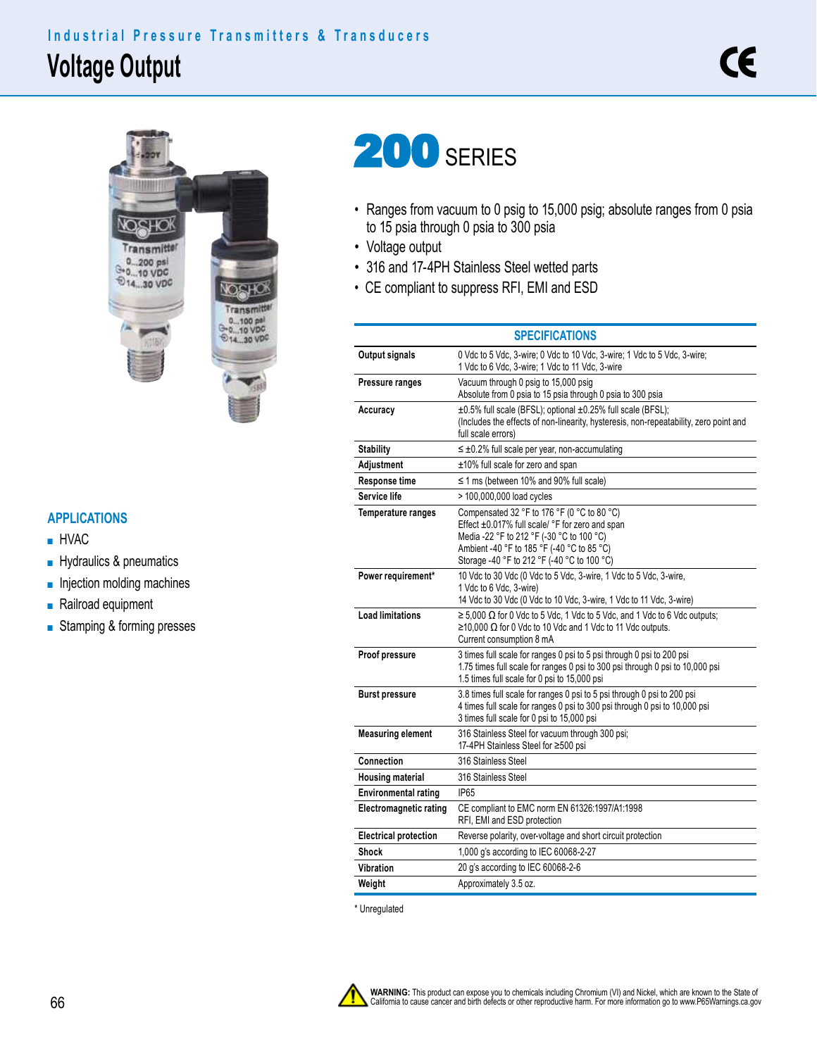## **Voltage Output Industrial Pressure Transmitters & Transducers**



## **APPLICATIONS**

- HVAC
- Hydraulics & pneumatics
- Injection molding machines
- Railroad equipment
- Stamping & forming presses

## 200 SERIES

- Ranges from vacuum to 0 psig to 15,000 psig; absolute ranges from 0 psia to 15 psia through 0 psia to 300 psia
- Voltage output

Ì,

- 316 and 17-4PH Stainless Steel wetted parts
- CE compliant to suppress RFI, EMI and ESD

|                               | <b>SPECIFICATIONS</b>                                                                                                                                                                                                                    |  |  |  |  |
|-------------------------------|------------------------------------------------------------------------------------------------------------------------------------------------------------------------------------------------------------------------------------------|--|--|--|--|
| Output signals                | 0 Vdc to 5 Vdc, 3-wire; 0 Vdc to 10 Vdc, 3-wire; 1 Vdc to 5 Vdc, 3-wire;<br>1 Vdc to 6 Vdc, 3-wire; 1 Vdc to 11 Vdc, 3-wire                                                                                                              |  |  |  |  |
| Pressure ranges               | Vacuum through 0 psig to 15,000 psig<br>Absolute from 0 psia to 15 psia through 0 psia to 300 psia                                                                                                                                       |  |  |  |  |
| Accuracy                      | ±0.5% full scale (BFSL); optional ±0.25% full scale (BFSL);<br>(Includes the effects of non-linearity, hysteresis, non-repeatability, zero point and<br>full scale errors)                                                               |  |  |  |  |
| <b>Stability</b>              | $\leq \pm 0.2\%$ full scale per year, non-accumulating                                                                                                                                                                                   |  |  |  |  |
| Adjustment                    | ±10% full scale for zero and span                                                                                                                                                                                                        |  |  |  |  |
| Response time                 | $\leq$ 1 ms (between 10% and 90% full scale)                                                                                                                                                                                             |  |  |  |  |
| Service life                  | > 100,000,000 load cycles                                                                                                                                                                                                                |  |  |  |  |
| <b>Temperature ranges</b>     | Compensated 32 °F to 176 °F (0 °C to 80 °C)<br>Effect ±0.017% full scale/ °F for zero and span<br>Media -22 °F to 212 °F (-30 °C to 100 °C)<br>Ambient -40 °F to 185 °F (-40 °C to 85 °C)<br>Storage -40 °F to 212 °F (-40 °C to 100 °C) |  |  |  |  |
| Power requirement*            | 10 Vdc to 30 Vdc (0 Vdc to 5 Vdc, 3-wire, 1 Vdc to 5 Vdc, 3-wire,<br>1 Vdc to 6 Vdc, 3-wire)<br>14 Vdc to 30 Vdc (0 Vdc to 10 Vdc, 3-wire, 1 Vdc to 11 Vdc, 3-wire)                                                                      |  |  |  |  |
| <b>Load limitations</b>       | $\ge$ 5,000 $\Omega$ for 0 Vdc to 5 Vdc, 1 Vdc to 5 Vdc, and 1 Vdc to 6 Vdc outputs;<br>$\geq$ 10,000 Ω for 0 Vdc to 10 Vdc and 1 Vdc to 11 Vdc outputs.<br>Current consumption 8 mA                                                     |  |  |  |  |
| Proof pressure                | 3 times full scale for ranges 0 psi to 5 psi through 0 psi to 200 psi<br>1.75 times full scale for ranges 0 psi to 300 psi through 0 psi to 10,000 psi<br>1.5 times full scale for 0 psi to 15,000 psi                                   |  |  |  |  |
| Burst pressure                | 3.8 times full scale for ranges 0 psi to 5 psi through 0 psi to 200 psi<br>4 times full scale for ranges 0 psi to 300 psi through 0 psi to 10,000 psi<br>3 times full scale for 0 psi to 15,000 psi                                      |  |  |  |  |
| <b>Measuring element</b>      | 316 Stainless Steel for vacuum through 300 psi;<br>17-4PH Stainless Steel for ≥500 psi                                                                                                                                                   |  |  |  |  |
| Connection                    | 316 Stainless Steel                                                                                                                                                                                                                      |  |  |  |  |
| <b>Housing material</b>       | 316 Stainless Steel                                                                                                                                                                                                                      |  |  |  |  |
| <b>Environmental rating</b>   | IP65                                                                                                                                                                                                                                     |  |  |  |  |
| <b>Electromagnetic rating</b> | CE compliant to EMC norm EN 61326:1997/A1:1998<br>RFI, EMI and ESD protection                                                                                                                                                            |  |  |  |  |
| <b>Electrical protection</b>  | Reverse polarity, over-voltage and short circuit protection                                                                                                                                                                              |  |  |  |  |
| Shock                         | 1,000 g's according to IEC 60068-2-27                                                                                                                                                                                                    |  |  |  |  |
| Vibration                     | 20 g's according to IEC 60068-2-6                                                                                                                                                                                                        |  |  |  |  |
| Weight                        | Approximately 3.5 oz.                                                                                                                                                                                                                    |  |  |  |  |

\* Unregulated